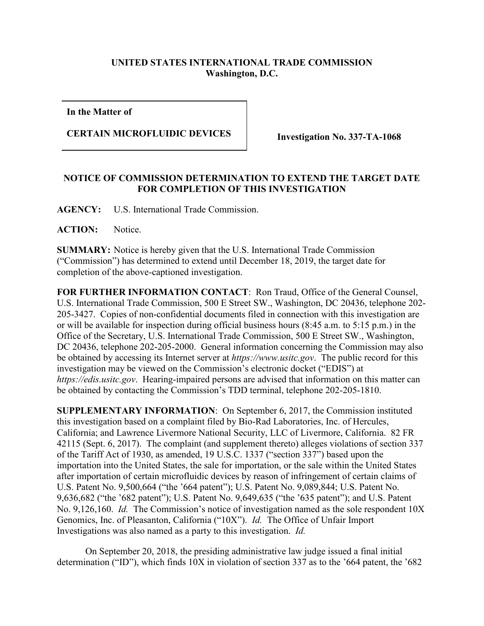## **UNITED STATES INTERNATIONAL TRADE COMMISSION Washington, D.C.**

**In the Matter of**

## **CERTAIN MICROFLUIDIC DEVICES Investigation No. 337-TA-1068**

## **NOTICE OF COMMISSION DETERMINATION TO EXTEND THE TARGET DATE FOR COMPLETION OF THIS INVESTIGATION**

**AGENCY:** U.S. International Trade Commission.

ACTION: Notice.

**SUMMARY:** Notice is hereby given that the U.S. International Trade Commission ("Commission") has determined to extend until December 18, 2019, the target date for completion of the above-captioned investigation.

**FOR FURTHER INFORMATION CONTACT**: Ron Traud, Office of the General Counsel, U.S. International Trade Commission, 500 E Street SW., Washington, DC 20436, telephone 202- 205-3427. Copies of non-confidential documents filed in connection with this investigation are or will be available for inspection during official business hours (8:45 a.m. to 5:15 p.m.) in the Office of the Secretary, U.S. International Trade Commission, 500 E Street SW., Washington, DC 20436, telephone 202-205-2000. General information concerning the Commission may also be obtained by accessing its Internet server at *https://www.usitc.gov*. The public record for this investigation may be viewed on the Commission's electronic docket ("EDIS") at *https://edis.usitc.gov*. Hearing-impaired persons are advised that information on this matter can be obtained by contacting the Commission's TDD terminal, telephone 202-205-1810.

**SUPPLEMENTARY INFORMATION**: On September 6, 2017, the Commission instituted this investigation based on a complaint filed by Bio-Rad Laboratories, Inc. of Hercules, California; and Lawrence Livermore National Security, LLC of Livermore, California. 82 FR 42115 (Sept. 6, 2017). The complaint (and supplement thereto) alleges violations of section 337 of the Tariff Act of 1930, as amended, 19 U.S.C. 1337 ("section 337") based upon the importation into the United States, the sale for importation, or the sale within the United States after importation of certain microfluidic devices by reason of infringement of certain claims of U.S. Patent No. 9,500,664 ("the '664 patent"); U.S. Patent No. 9,089,844; U.S. Patent No. 9,636,682 ("the '682 patent"); U.S. Patent No. 9,649,635 ("the '635 patent"); and U.S. Patent No. 9,126,160. *Id.* The Commission's notice of investigation named as the sole respondent 10X Genomics, Inc. of Pleasanton, California ("10X"). *Id.* The Office of Unfair Import Investigations was also named as a party to this investigation. *Id.*

On September 20, 2018, the presiding administrative law judge issued a final initial determination ("ID"), which finds 10X in violation of section 337 as to the '664 patent, the '682